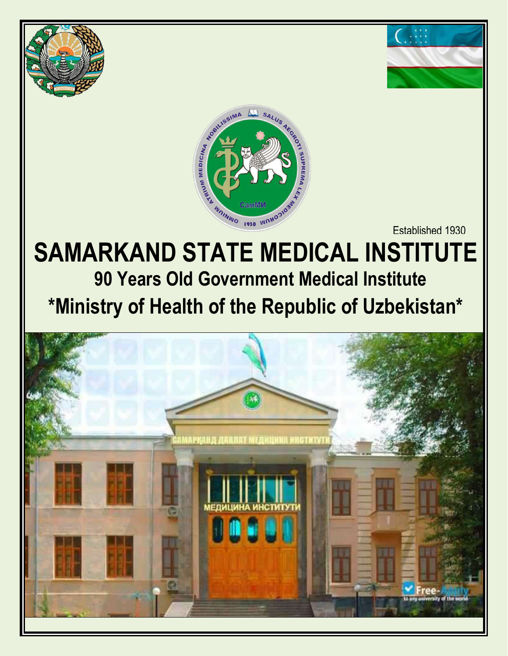





Established 1930

# **SAMARKAND STATE MEDICAL INSTITUTE 90 Years Old Government Medical Institute \*Ministry of Health of the Republic of Uzbekistan\***

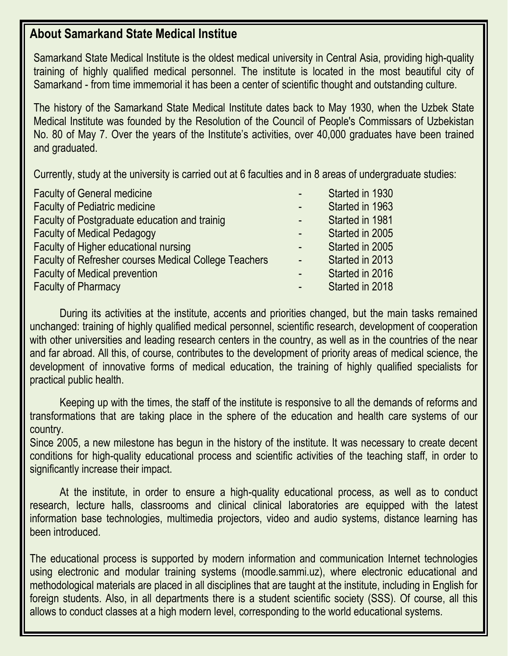# **About Samarkand State Medical Institue**

Samarkand State Medical Institute is the oldest medical university in Central Asia, providing high-quality training of highly qualified medical personnel. The institute is located in the most beautiful city of Samarkand - from time immemorial it has been a center of scientific thought and outstanding culture.

The history of the Samarkand State Medical Institute dates back to May 1930, when the Uzbek State Medical Institute was founded by the Resolution of the Council of People's Commissars of Uzbekistan No. 80 of May 7. Over the years of the Institute's activities, over 40,000 graduates have been trained and graduated.

Currently, study at the university is carried out at 6 faculties and in 8 areas of undergraduate studies:

| <b>Faculty of General medicine</b>                           | æ                        | Started in 1930 |
|--------------------------------------------------------------|--------------------------|-----------------|
| <b>Faculty of Pediatric medicine</b>                         |                          | Started in 1963 |
| Faculty of Postgraduate education and trainig                | $\blacksquare$           | Started in 1981 |
| <b>Faculty of Medical Pedagogy</b>                           | $\overline{\phantom{a}}$ | Started in 2005 |
| Faculty of Higher educational nursing                        |                          | Started in 2005 |
| <b>Faculty of Refresher courses Medical College Teachers</b> | $\blacksquare$           | Started in 2013 |
| <b>Faculty of Medical prevention</b>                         | $\overline{\phantom{0}}$ | Started in 2016 |
| <b>Faculty of Pharmacy</b>                                   | $\overline{\phantom{0}}$ | Started in 2018 |

During its activities at the institute, accents and priorities changed, but the main tasks remained unchanged: training of highly qualified medical personnel, scientific research, development of cooperation with other universities and leading research centers in the country, as well as in the countries of the near and far abroad. All this, of course, contributes to the development of priority areas of medical science, the development of innovative forms of medical education, the training of highly qualified specialists for practical public health.

Keeping up with the times, the staff of the institute is responsive to all the demands of reforms and transformations that are taking place in the sphere of the education and health care systems of our country.

Since 2005, a new milestone has begun in the history of the institute. It was necessary to create decent conditions for high-quality educational process and scientific activities of the teaching staff, in order to significantly increase their impact.

At the institute, in order to ensure a high-quality educational process, as well as to conduct research, lecture halls, classrooms and clinical clinical laboratories are equipped with the latest information base technologies, multimedia projectors, video and audio systems, distance learning has been introduced.

The educational process is supported by modern information and communication Internet technologies using electronic and modular training systems (moodle.sammi.uz), where electronic educational and methodological materials are placed in all disciplines that are taught at the institute, including in English for foreign students. Also, in all departments there is a student scientific society (SSS). Of course, all this allows to conduct classes at a high modern level, corresponding to the world educational systems.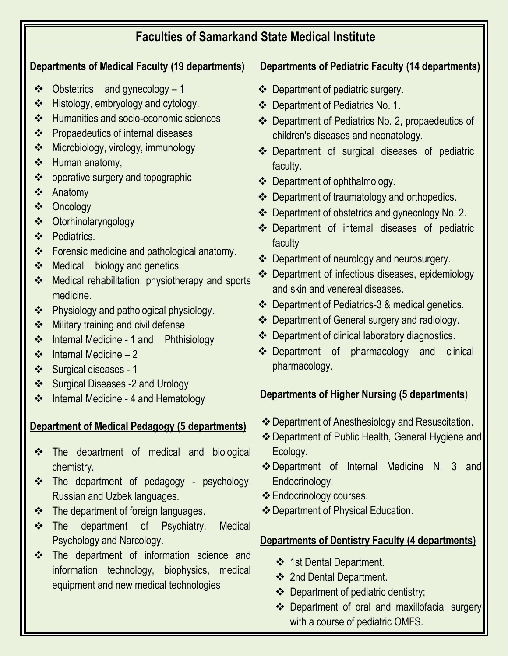| <b>Faculties of Samarkand State Medical Institute</b>                                                                                                                                                                                                                                                                                                                                                                                                                                                                                                            |                                                                                                                                                                                                                                                                                                                                                                                                                                                                                                                                                                                                                                                                                                                                            |                                                                                                                                                                                                                                                                                                                                                                                                                                                                                                                                                                                                                                                                                                                                                                                                                                                                           |  |  |  |  |  |
|------------------------------------------------------------------------------------------------------------------------------------------------------------------------------------------------------------------------------------------------------------------------------------------------------------------------------------------------------------------------------------------------------------------------------------------------------------------------------------------------------------------------------------------------------------------|--------------------------------------------------------------------------------------------------------------------------------------------------------------------------------------------------------------------------------------------------------------------------------------------------------------------------------------------------------------------------------------------------------------------------------------------------------------------------------------------------------------------------------------------------------------------------------------------------------------------------------------------------------------------------------------------------------------------------------------------|---------------------------------------------------------------------------------------------------------------------------------------------------------------------------------------------------------------------------------------------------------------------------------------------------------------------------------------------------------------------------------------------------------------------------------------------------------------------------------------------------------------------------------------------------------------------------------------------------------------------------------------------------------------------------------------------------------------------------------------------------------------------------------------------------------------------------------------------------------------------------|--|--|--|--|--|
| Departments of Medical Faculty (19 departments)                                                                                                                                                                                                                                                                                                                                                                                                                                                                                                                  |                                                                                                                                                                                                                                                                                                                                                                                                                                                                                                                                                                                                                                                                                                                                            | Departments of Pediatric Faculty (14 departments)                                                                                                                                                                                                                                                                                                                                                                                                                                                                                                                                                                                                                                                                                                                                                                                                                         |  |  |  |  |  |
| $\ddot{\cdot}$<br>$\bullet^{\bullet}_{\bullet} \bullet$<br>$\cdot \cdot$<br>$\ddot{\cdot}$<br>$\ddot{\cdot}$<br>$\bullet^{\bullet}_{\bullet} \bullet$<br>$\ddot{\cdot}$<br>$\ddot{\cdot}$<br>$\bullet^{\bullet}_{\bullet} \bullet$<br>$\bullet^{\bullet}_{\bullet} \bullet$<br>$\ddot{\cdot}$<br>$\ddot{\cdot}$<br>$\bullet^{\bullet}_{\bullet} \bullet$<br>$\ddot{\cdot}$<br>$\bullet^{\bullet}_{\bullet} \bullet$<br>$\bullet^{\bullet}_{\bullet} \bullet$<br>$\ddot{\cdot}$<br>$\ddot{\cdot}$<br>$\ddot{\cdot}$<br>$\bullet^{\bullet}_{\bullet} \bullet$<br>❖ | Obstetrics and gynecology - 1<br>Histology, embryology and cytology.<br>Humanities and socio-economic sciences<br>Propaedeutics of internal diseases<br>Microbiology, virology, immunology<br>Human anatomy,<br>operative surgery and topographic<br>Anatomy<br>Oncology<br>Otorhinolaryngology<br>Pediatrics.<br>Forensic medicine and pathological anatomy.<br><b>Medical</b><br>biology and genetics.<br>Medical rehabilitation, physiotherapy and sports<br>medicine.<br>Physiology and pathological physiology.<br>Military training and civil defense<br>Internal Medicine - 1 and Phthisiology<br>Internal Medicine - 2<br>Surgical diseases - 1<br><b>Surgical Diseases -2 and Urology</b><br>Internal Medicine - 4 and Hematology | ❖ Department of pediatric surgery.<br>❖ Department of Pediatrics No. 1.<br>❖ Department of Pediatrics No. 2, propaedeutics of<br>children's diseases and neonatology.<br>❖ Department of surgical diseases of pediatric<br>faculty.<br>❖ Department of ophthalmology.<br>Department of traumatology and orthopedics.<br>❖<br>Department of obstetrics and gynecology No. 2.<br>❖<br>Department of internal diseases of pediatric<br>❖<br>faculty<br>❖ Department of neurology and neurosurgery.<br>Department of infectious diseases, epidemiology<br>❖<br>and skin and venereal diseases.<br>❖ Department of Pediatrics-3 & medical genetics.<br>❖ Department of General surgery and radiology.<br>Department of clinical laboratory diagnostics.<br>❖<br>❖ Department of pharmacology and<br>clinical<br>pharmacology.<br>Departments of Higher Nursing (5 departments) |  |  |  |  |  |
| ❖<br>$\frac{1}{2}$<br>$\cdot$<br>$\cdot \cdot$<br>$\frac{1}{2}$                                                                                                                                                                                                                                                                                                                                                                                                                                                                                                  | <b>Department of Medical Pedagogy (5 departments)</b><br>The department of medical and biological<br>chemistry.<br>The department of pedagogy - psychology,<br>Russian and Uzbek languages.<br>The department of foreign languages.<br>department of Psychiatry,<br><b>Medical</b><br><b>The</b><br>Psychology and Narcology.<br>The department of information science and<br>information technology, biophysics, medical<br>equipment and new medical technologies                                                                                                                                                                                                                                                                        | ❖ Department of Anesthesiology and Resuscitation.<br>❖ Department of Public Health, General Hygiene and<br>Ecology.<br>❖ Department of Internal Medicine N. 3 and<br>Endocrinology.<br>❖ Endocrinology courses.<br>❖ Department of Physical Education.<br><b>Departments of Dentistry Faculty (4 departments)</b><br>❖ 1st Dental Department.<br>❖ 2nd Dental Department.<br>❖ Department of pediatric dentistry;<br>❖ Department of oral and maxillofacial surgery<br>with a course of pediatric OMFS.                                                                                                                                                                                                                                                                                                                                                                   |  |  |  |  |  |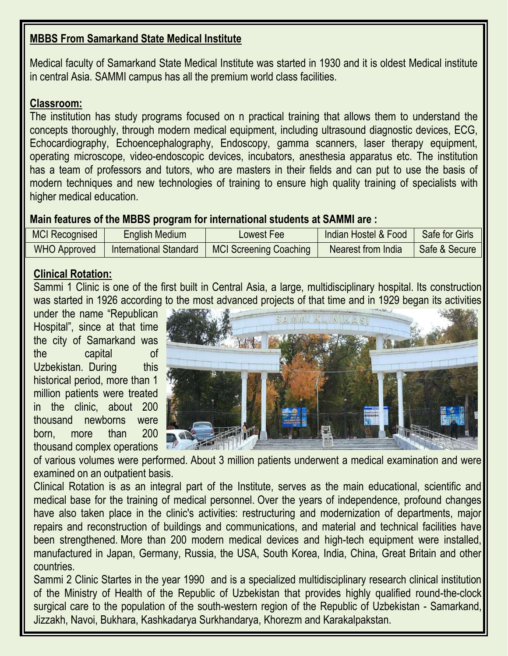# **MBBS From Samarkand State Medical Institute**

Medical faculty of Samarkand State Medical Institute was started in 1930 and it is oldest Medical institute in central Asia. SAMMI campus has all the premium world class facilities.

### **Classroom:**

The institution has study programs focused on n practical training that allows them to understand the concepts thoroughly, through modern medical equipment, including ultrasound diagnostic devices, ECG, Echocardiography, Echoencephalography, Endoscopy, gamma scanners, laser therapy equipment, operating microscope, video-endoscopic devices, incubators, anesthesia apparatus etc. The institution has a team of professors and tutors, who are masters in their fields and can put to use the basis of modern techniques and new technologies of training to ensure high quality training of specialists with higher medical education.

### **Main features of the MBBS program for international students at SAMMI are :**

| <b>MCI Recognised</b> | English Medium         | Lowest Fee                    | Indian Hostel & Food | Safe for Girls |
|-----------------------|------------------------|-------------------------------|----------------------|----------------|
| <b>WHO Approved</b>   | International Standard | <b>MCI Screening Coaching</b> | Nearest from India   | Safe & Secure  |

## **Clinical Rotation:**

Sammi 1 Clinic is one of the first built in Central Asia, a large, multidisciplinary hospital. Its construction was started in 1926 according to the most advanced projects of that time and in 1929 began its activities

under the name "Republican Hospital", since at that time the city of Samarkand was the capital of Uzbekistan. During this historical period, more than 1 million patients were treated in the clinic, about 200 thousand newborns were born, more than 200 thousand complex operations



of various volumes were performed. About 3 million patients underwent a medical examination and were examined on an outpatient basis.

Clinical Rotation is as an integral part of the Institute, serves as the main educational, scientific and medical base for the training of medical personnel. Over the years of independence, profound changes have also taken place in the clinic's activities: restructuring and modernization of departments, major repairs and reconstruction of buildings and communications, and material and technical facilities have been strengthened. More than 200 modern medical devices and high-tech equipment were installed, manufactured in Japan, Germany, Russia, the USA, South Korea, India, China, Great Britain and other countries.

Sammi 2 Clinic Startes in the year 1990 and is a specialized multidisciplinary research clinical institution of the Ministry of Health of the Republic of Uzbekistan that provides highly qualified round-the-clock surgical care to the population of the south-western region of the Republic of Uzbekistan - Samarkand, Jizzakh, Navoi, Bukhara, Kashkadarya Surkhandarya, Khorezm and Karakalpakstan.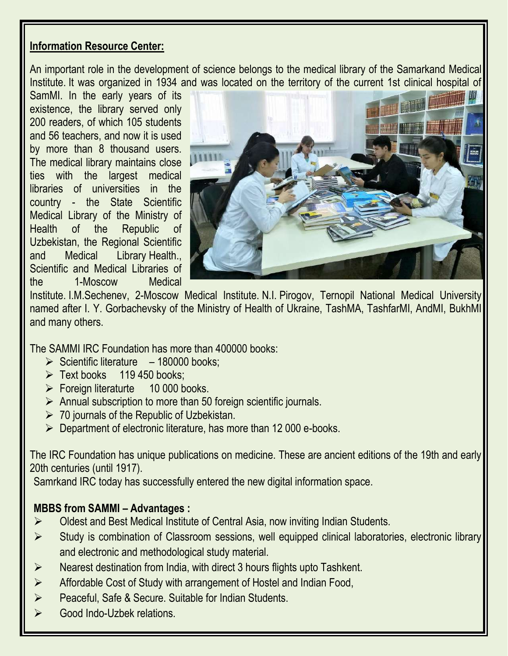## **Information Resource Center:**

An important role in the development of science belongs to the medical library of the Samarkand Medical Institute. It was organized in 1934 and was located on the territory of the current 1st clinical hospital of

SamMI. In the early years of its existence, the library served only 200 readers, of which 105 students and 56 teachers, and now it is used by more than 8 thousand users. The medical library maintains close ties with the largest medical libraries of universities in the country - the State Scientific Medical Library of the Ministry of Health of the Republic of Uzbekistan, the Regional Scientific and Medical Library Health., Scientific and Medical Libraries of the 1-Moscow Medical



Institute. I.M.Sechenev, 2-Moscow Medical Institute. N.I. Pirogov, Ternopil National Medical University named after I. Y. Gorbachevsky of the Ministry of Health of Ukraine, TashMA, TashfarMI, AndMI, BukhMI and many others.

The SAMMI IRC Foundation has more than 400000 books:

- $\triangleright$  Scientific literature 180000 books:
- $\triangleright$  Text books 119 450 books:
- ➢ Foreign literaturte 10 000 books.
- $\triangleright$  Annual subscription to more than 50 foreign scientific journals.
- $\geq 70$  journals of the Republic of Uzbekistan.
- ➢ Department of electronic literature, has more than 12 000 e-books.

The IRC Foundation has unique publications on medicine. These are ancient editions of the 19th and early 20th centuries (until 1917).

Samrkand IRC today has successfully entered the new digital information space.

# **MBBS from SAMMI – Advantages :**

- ➢ Oldest and Best Medical Institute of Central Asia, now inviting Indian Students.
- ➢ Study is combination of Classroom sessions, well equipped clinical laboratories, electronic library and electronic and methodological study material.
- ➢ Nearest destination from India, with direct 3 hours flights upto Tashkent.
- ➢ Affordable Cost of Study with arrangement of Hostel and Indian Food,
- ➢ Peaceful, Safe & Secure. Suitable for Indian Students.
- ➢ Good Indo-Uzbek relations.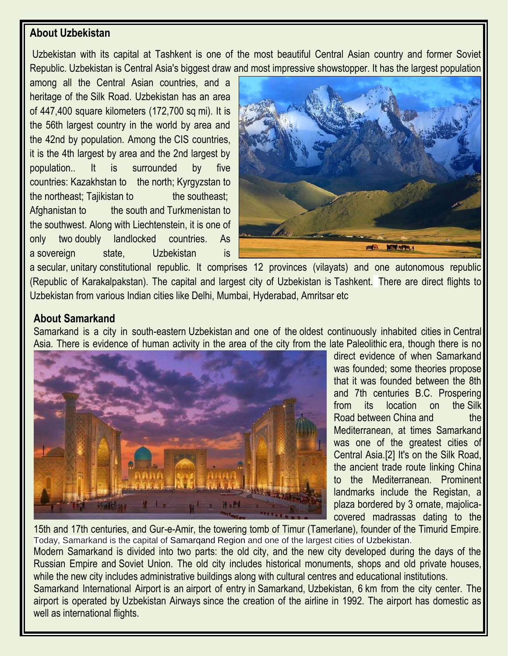## **About Uzbekistan**

Uzbekistan with its capital at Tashkent is one of the most beautiful Central Asian country and former Soviet Republic. Uzbekistan is Central Asia's biggest draw and most impressive showstopper. It has the largest population

among all the Central Asian countries, and a heritage of the [Silk Road.](https://en.wikivoyage.org/wiki/Silk_Road) Uzbekistan has an area of 447,400 square kilometers (172,700 sq mi). It is the 56th largest country in the world by area and the 42nd by population. Among the [CIS](https://en.wikipedia.org/wiki/Commonwealth_of_Independent_States) countries, it is the 4th largest by area and the 2nd largest by population.. It is surrounded by five countries: [Kazakhstan](https://en.wikipedia.org/wiki/Kazakhstan) to the [north;](https://en.wikipedia.org/wiki/Kazakhstan%E2%80%93Uzbekistan_border) [Kyrgyzstan](https://en.wikipedia.org/wiki/Kyrgyzstan) to the [northeast;](https://en.wikipedia.org/wiki/Kyrgyzstan%E2%80%93Uzbekistan_border) [Tajikistan](https://en.wikipedia.org/wiki/Tajikistan) to the [southeast;](https://en.wikipedia.org/wiki/Tajikistan%E2%80%93Uzbekistan_border) [Afghanistan](https://en.wikipedia.org/wiki/Afghanistan) to the [south](https://en.wikipedia.org/wiki/Afghanistan%E2%80%93Uzbekistan_border) and [Turkmenistan](https://en.wikipedia.org/wiki/Turkmenistan) to the [southwest.](https://en.wikipedia.org/wiki/Turkmenistan%E2%80%93Uzbekistan_border) Along with [Liechtenstein,](https://en.wikipedia.org/wiki/Liechtenstein) it is one of only two [doubly landlocked countries.](https://en.wikipedia.org/wiki/Doubly_landlocked_countries) As a [sovereign state,](https://en.wikipedia.org/wiki/Sovereign_state) Uzbekistan is



a [secular,](https://en.wikipedia.org/wiki/Secular) [unitary](https://en.wikipedia.org/wiki/Unitary_state) constitutional republic. It comprises 12 provinces (vilayats) and one autonomous republic [\(Republic of Karakalpakstan\)](https://en.wikipedia.org/wiki/Republic_of_Karakalpakstan). The capital and largest city of Uzbekistan is [Tashkent.](https://en.wikipedia.org/wiki/Tashkent) There are direct flights to Uzbekistan from various Indian cities like Delhi, Mumbai, Hyderabad, Amritsar etc

### **About Samarkand**

Samarkand is a city in south-eastern [Uzbekistan](https://en.wikipedia.org/wiki/Uzbekistan) and one of the [oldest continuously inhabited cities](https://en.wikipedia.org/wiki/List_of_oldest_continuously_inhabited_cities) in [Central](https://en.wikipedia.org/wiki/Central_Asia)  [Asia.](https://en.wikipedia.org/wiki/Central_Asia) There is evidence of human activity in the area of the city from the late [Paleolithic](https://en.wikipedia.org/wiki/Paleolithic) era, though there is no



direct evidence of when Samarkand was founded; some theories propose that it was founded between the 8th and 7th centuries B.C. Prospering from its location on the [Silk](https://en.wikipedia.org/wiki/Silk_Road)  [Road](https://en.wikipedia.org/wiki/Silk_Road) between [China](https://en.wikipedia.org/wiki/China) and the Mediterranean, at times Samarkand was one of the greatest cities of Central Asia[.\[2\]](https://en.wikipedia.org/wiki/Samarkand#cite_note-ReferenceC-2) It's on the Silk Road, the ancient trade route linking China to the Mediterranean. Prominent landmarks include the Registan, a plaza bordered by 3 ornate, majolicacovered madrassas dating to the

15th and 17th centuries, and Gur-e-Amir, the towering tomb of Timur (Tamerlane), founder of the Timurid Empire. Today, Samarkand is the capital of Samarqand Region and one of the largest cities of Uzbekistan.

Modern Samarkand is divided into two parts: the old city, and the new city developed during the days of the Russian Empire and [Soviet Union.](https://en.wikipedia.org/wiki/Soviet_Union) The old city includes historical monuments, shops and old private houses, while the new city includes administrative buildings along with cultural centres and educational institutions.

Samarkand International Airport is an [airport of entry](https://en.wikipedia.org/wiki/Airport_of_entry) in [Samarkand,](https://en.wikipedia.org/wiki/Samarkand) [Uzbekistan,](https://en.wikipedia.org/wiki/Uzbekistan) 6 km from the city center. The airport is operated by [Uzbekistan Airways](https://en.wikipedia.org/wiki/Uzbekistan_Airways) since the creation of the airline in 1992. The airport has domestic as well as international flights.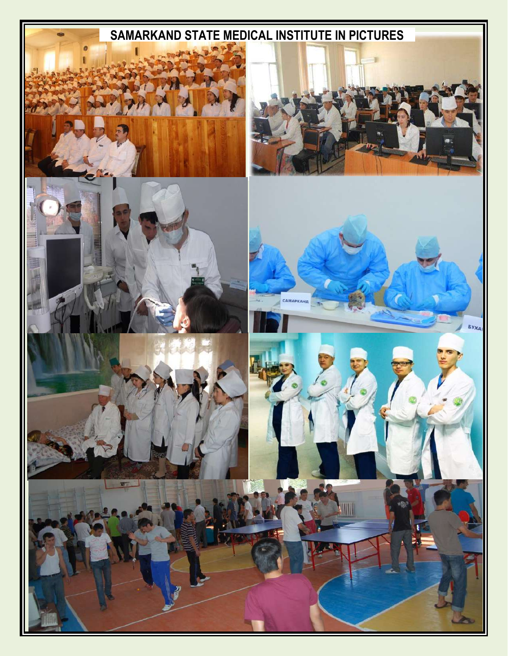